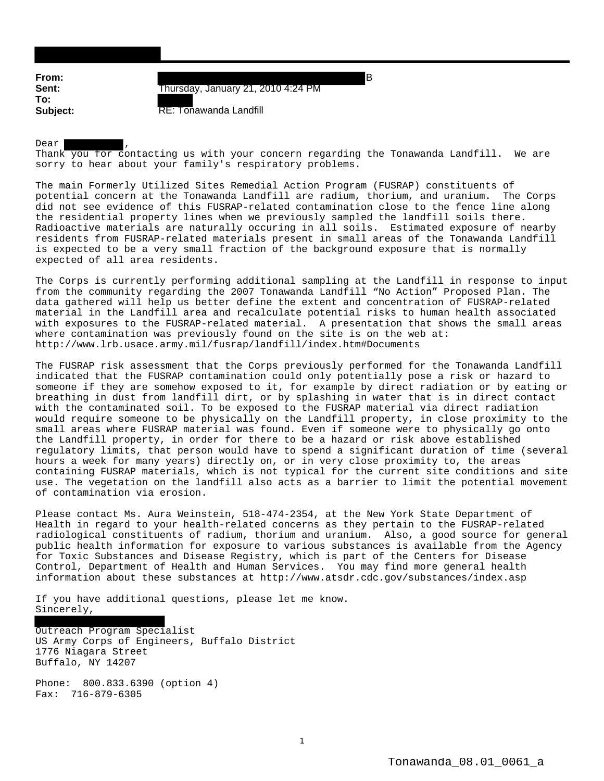**From:** B **To:**

**Sent:** Thursday, January 21, 2010 4:24 PM

**Subject:** RE: Tonawanda Landfill

Dear  $\overline{ }$ Thank you for contacting us with your concern regarding the Tonawanda Landfill. We are sorry to hear about your family's respiratory problems.

The main Formerly Utilized Sites Remedial Action Program (FUSRAP) constituents of potential concern at the Tonawanda Landfill are radium, thorium, and uranium. The Corps did not see evidence of this FUSRAP-related contamination close to the fence line along the residential property lines when we previously sampled the landfill soils there. Radioactive materials are naturally occuring in all soils. Estimated exposure of nearby residents from FUSRAP-related materials present in small areas of the Tonawanda Landfill is expected to be a very small fraction of the background exposure that is normally expected of all area residents.

The Corps is currently performing additional sampling at the Landfill in response to input from the community regarding the 2007 Tonawanda Landfill "No Action" Proposed Plan. The data gathered will help us better define the extent and concentration of FUSRAP-related material in the Landfill area and recalculate potential risks to human health associated with exposures to the FUSRAP-related material. A presentation that shows the small areas where contamination was previously found on the site is on the web at: http://www.lrb.usace.army.mil/fusrap/landfill/index.htm#Documents

The FUSRAP risk assessment that the Corps previously performed for the Tonawanda Landfill indicated that the FUSRAP contamination could only potentially pose a risk or hazard to someone if they are somehow exposed to it, for example by direct radiation or by eating or breathing in dust from landfill dirt, or by splashing in water that is in direct contact with the contaminated soil. To be exposed to the FUSRAP material via direct radiation would require someone to be physically on the Landfill property, in close proximity to the small areas where FUSRAP material was found. Even if someone were to physically go onto the Landfill property, in order for there to be a hazard or risk above established regulatory limits, that person would have to spend a significant duration of time (several hours a week for many years) directly on, or in very close proximity to, the areas containing FUSRAP materials, which is not typical for the current site conditions and site use. The vegetation on the landfill also acts as a barrier to limit the potential movement of contamination via erosion.

Please contact Ms. Aura Weinstein, 518-474-2354, at the New York State Department of Health in regard to your health-related concerns as they pertain to the FUSRAP-related radiological constituents of radium, thorium and uranium. Also, a good source for general public health information for exposure to various substances is available from the Agency for Toxic Substances and Disease Registry, which is part of the Centers for Disease Control, Department of Health and Human Services. You may find more general health information about these substances at http://www.atsdr.cdc.gov/substances/index.asp

If you have additional questions, please let me know. Sincerely,

Outreach Program Specialist US Army Corps of Engineers, Buffalo District 1776 Niagara Street Buffalo, NY 14207

Phone: 800.833.6390 (option 4) Fax: 716-879-6305